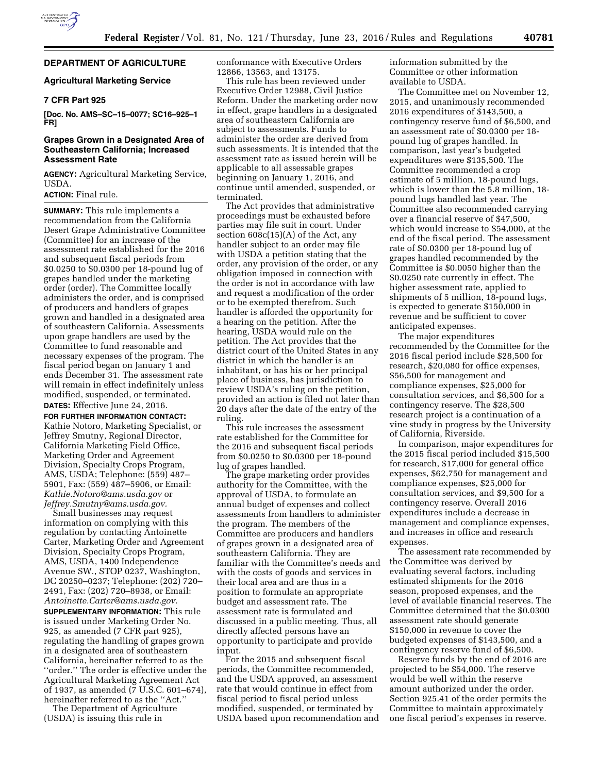

# **DEPARTMENT OF AGRICULTURE**

### **Agricultural Marketing Service**

# **7 CFR Part 925**

**[Doc. No. AMS–SC–15–0077; SC16–925–1 FR]** 

### **Grapes Grown in a Designated Area of Southeastern California; Increased Assessment Rate**

**AGENCY:** Agricultural Marketing Service, USDA.

# **ACTION:** Final rule.

**SUMMARY:** This rule implements a recommendation from the California Desert Grape Administrative Committee (Committee) for an increase of the assessment rate established for the 2016 and subsequent fiscal periods from \$0.0250 to \$0.0300 per 18-pound lug of grapes handled under the marketing order (order). The Committee locally administers the order, and is comprised of producers and handlers of grapes grown and handled in a designated area of southeastern California. Assessments upon grape handlers are used by the Committee to fund reasonable and necessary expenses of the program. The fiscal period began on January 1 and ends December 31. The assessment rate will remain in effect indefinitely unless modified, suspended, or terminated.

# **DATES:** Effective June 24, 2016.

**FOR FURTHER INFORMATION CONTACT:**  Kathie Notoro, Marketing Specialist, or Jeffrey Smutny, Regional Director, California Marketing Field Office, Marketing Order and Agreement Division, Specialty Crops Program, AMS, USDA; Telephone: (559) 487– 5901, Fax: (559) 487–5906, or Email: *[Kathie.Notoro@ams.usda.gov](mailto:Kathie.Notoro@ams.usda.gov)* or *[Jeffrey.Smutny@ams.usda.gov.](mailto:Jeffrey.Smutny@ams.usda.gov)* 

Small businesses may request information on complying with this regulation by contacting Antoinette Carter, Marketing Order and Agreement Division, Specialty Crops Program, AMS, USDA, 1400 Independence Avenue SW., STOP 0237, Washington, DC 20250–0237; Telephone: (202) 720– 2491, Fax: (202) 720–8938, or Email: *[Antoinette.Carter@ams.usda.gov.](mailto:Antoinette.Carter@ams.usda.gov)* 

**SUPPLEMENTARY INFORMATION:** This rule is issued under Marketing Order No. 925, as amended (7 CFR part 925), regulating the handling of grapes grown in a designated area of southeastern California, hereinafter referred to as the ''order.'' The order is effective under the Agricultural Marketing Agreement Act of 1937, as amended (7 U.S.C. 601–674), hereinafter referred to as the ''Act.''

The Department of Agriculture (USDA) is issuing this rule in

conformance with Executive Orders 12866, 13563, and 13175.

This rule has been reviewed under Executive Order 12988, Civil Justice Reform. Under the marketing order now in effect, grape handlers in a designated area of southeastern California are subject to assessments. Funds to administer the order are derived from such assessments. It is intended that the assessment rate as issued herein will be applicable to all assessable grapes beginning on January 1, 2016, and continue until amended, suspended, or terminated.

The Act provides that administrative proceedings must be exhausted before parties may file suit in court. Under section  $608c(15)(A)$  of the Act, any handler subject to an order may file with USDA a petition stating that the order, any provision of the order, or any obligation imposed in connection with the order is not in accordance with law and request a modification of the order or to be exempted therefrom. Such handler is afforded the opportunity for a hearing on the petition. After the hearing, USDA would rule on the petition. The Act provides that the district court of the United States in any district in which the handler is an inhabitant, or has his or her principal place of business, has jurisdiction to review USDA's ruling on the petition, provided an action is filed not later than 20 days after the date of the entry of the ruling.

This rule increases the assessment rate established for the Committee for the 2016 and subsequent fiscal periods from \$0.0250 to \$0.0300 per 18-pound lug of grapes handled.

The grape marketing order provides authority for the Committee, with the approval of USDA, to formulate an annual budget of expenses and collect assessments from handlers to administer the program. The members of the Committee are producers and handlers of grapes grown in a designated area of southeastern California. They are familiar with the Committee's needs and with the costs of goods and services in their local area and are thus in a position to formulate an appropriate budget and assessment rate. The assessment rate is formulated and discussed in a public meeting. Thus, all directly affected persons have an opportunity to participate and provide input.

For the 2015 and subsequent fiscal periods, the Committee recommended, and the USDA approved, an assessment rate that would continue in effect from fiscal period to fiscal period unless modified, suspended, or terminated by USDA based upon recommendation and information submitted by the Committee or other information available to USDA.

The Committee met on November 12, 2015, and unanimously recommended 2016 expenditures of \$143,500, a contingency reserve fund of \$6,500, and an assessment rate of \$0.0300 per 18 pound lug of grapes handled. In comparison, last year's budgeted expenditures were \$135,500. The Committee recommended a crop estimate of 5 million, 18-pound lugs, which is lower than the 5.8 million, 18 pound lugs handled last year. The Committee also recommended carrying over a financial reserve of \$47,500, which would increase to \$54,000, at the end of the fiscal period. The assessment rate of \$0.0300 per 18-pound lug of grapes handled recommended by the Committee is \$0.0050 higher than the \$0.0250 rate currently in effect. The higher assessment rate, applied to shipments of 5 million, 18-pound lugs, is expected to generate \$150,000 in revenue and be sufficient to cover anticipated expenses.

The major expenditures recommended by the Committee for the 2016 fiscal period include \$28,500 for research, \$20,080 for office expenses, \$56,500 for management and compliance expenses, \$25,000 for consultation services, and \$6,500 for a contingency reserve. The \$28,500 research project is a continuation of a vine study in progress by the University of California, Riverside.

In comparison, major expenditures for the 2015 fiscal period included \$15,500 for research, \$17,000 for general office expenses, \$62,750 for management and compliance expenses, \$25,000 for consultation services, and \$9,500 for a contingency reserve. Overall 2016 expenditures include a decrease in management and compliance expenses, and increases in office and research expenses.

The assessment rate recommended by the Committee was derived by evaluating several factors, including estimated shipments for the 2016 season, proposed expenses, and the level of available financial reserves. The Committee determined that the \$0.0300 assessment rate should generate \$150,000 in revenue to cover the budgeted expenses of \$143,500, and a contingency reserve fund of \$6,500.

Reserve funds by the end of 2016 are projected to be \$54,000. The reserve would be well within the reserve amount authorized under the order. Section 925.41 of the order permits the Committee to maintain approximately one fiscal period's expenses in reserve.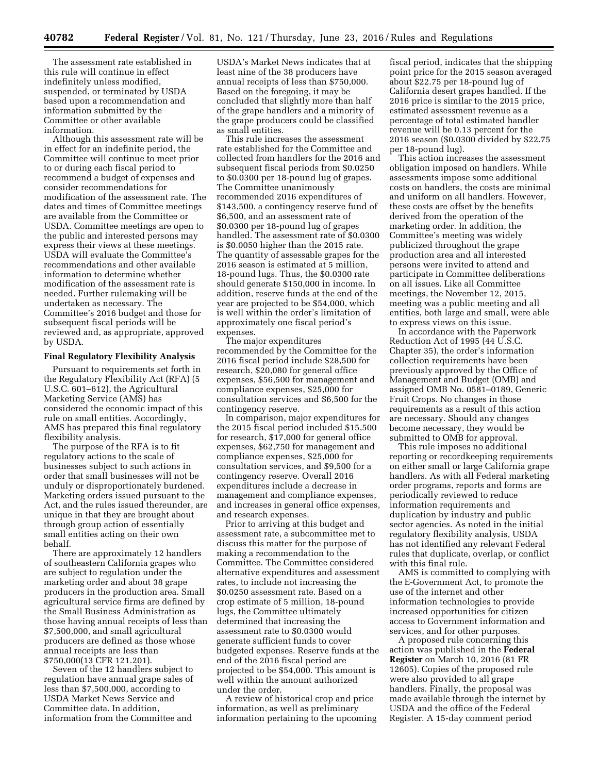The assessment rate established in this rule will continue in effect indefinitely unless modified, suspended, or terminated by USDA based upon a recommendation and information submitted by the Committee or other available information.

Although this assessment rate will be in effect for an indefinite period, the Committee will continue to meet prior to or during each fiscal period to recommend a budget of expenses and consider recommendations for modification of the assessment rate. The dates and times of Committee meetings are available from the Committee or USDA. Committee meetings are open to the public and interested persons may express their views at these meetings. USDA will evaluate the Committee's recommendations and other available information to determine whether modification of the assessment rate is needed. Further rulemaking will be undertaken as necessary. The Committee's 2016 budget and those for subsequent fiscal periods will be reviewed and, as appropriate, approved by USDA.

#### **Final Regulatory Flexibility Analysis**

Pursuant to requirements set forth in the Regulatory Flexibility Act (RFA) (5 U.S.C. 601–612), the Agricultural Marketing Service (AMS) has considered the economic impact of this rule on small entities. Accordingly, AMS has prepared this final regulatory flexibility analysis.

The purpose of the RFA is to fit regulatory actions to the scale of businesses subject to such actions in order that small businesses will not be unduly or disproportionately burdened. Marketing orders issued pursuant to the Act, and the rules issued thereunder, are unique in that they are brought about through group action of essentially small entities acting on their own behalf.

There are approximately 12 handlers of southeastern California grapes who are subject to regulation under the marketing order and about 38 grape producers in the production area. Small agricultural service firms are defined by the Small Business Administration as those having annual receipts of less than \$7,500,000, and small agricultural producers are defined as those whose annual receipts are less than \$750,000(13 CFR 121.201).

Seven of the 12 handlers subject to regulation have annual grape sales of less than \$7,500,000, according to USDA Market News Service and Committee data. In addition, information from the Committee and

USDA's Market News indicates that at least nine of the 38 producers have annual receipts of less than \$750,000. Based on the foregoing, it may be concluded that slightly more than half of the grape handlers and a minority of the grape producers could be classified as small entities.

This rule increases the assessment rate established for the Committee and collected from handlers for the 2016 and subsequent fiscal periods from \$0.0250 to \$0.0300 per 18-pound lug of grapes. The Committee unanimously recommended 2016 expenditures of \$143,500, a contingency reserve fund of \$6,500, and an assessment rate of \$0.0300 per 18-pound lug of grapes handled. The assessment rate of \$0.0300 is \$0.0050 higher than the 2015 rate. The quantity of assessable grapes for the 2016 season is estimated at 5 million, 18-pound lugs. Thus, the \$0.0300 rate should generate \$150,000 in income. In addition, reserve funds at the end of the year are projected to be \$54,000, which is well within the order's limitation of approximately one fiscal period's expenses.

The major expenditures recommended by the Committee for the 2016 fiscal period include \$28,500 for research, \$20,080 for general office expenses, \$56,500 for management and compliance expenses, \$25,000 for consultation services and \$6,500 for the contingency reserve.

In comparison, major expenditures for the 2015 fiscal period included \$15,500 for research, \$17,000 for general office expenses, \$62,750 for management and compliance expenses, \$25,000 for consultation services, and \$9,500 for a contingency reserve. Overall 2016 expenditures include a decrease in management and compliance expenses, and increases in general office expenses, and research expenses.

Prior to arriving at this budget and assessment rate, a subcommittee met to discuss this matter for the purpose of making a recommendation to the Committee. The Committee considered alternative expenditures and assessment rates, to include not increasing the \$0.0250 assessment rate. Based on a crop estimate of 5 million, 18-pound lugs, the Committee ultimately determined that increasing the assessment rate to \$0.0300 would generate sufficient funds to cover budgeted expenses. Reserve funds at the end of the 2016 fiscal period are projected to be \$54,000. This amount is well within the amount authorized under the order.

A review of historical crop and price information, as well as preliminary information pertaining to the upcoming

fiscal period, indicates that the shipping point price for the 2015 season averaged about \$22.75 per 18-pound lug of California desert grapes handled. If the 2016 price is similar to the 2015 price, estimated assessment revenue as a percentage of total estimated handler revenue will be 0.13 percent for the 2016 season (\$0.0300 divided by \$22.75 per 18-pound lug).

This action increases the assessment obligation imposed on handlers. While assessments impose some additional costs on handlers, the costs are minimal and uniform on all handlers. However, these costs are offset by the benefits derived from the operation of the marketing order. In addition, the Committee's meeting was widely publicized throughout the grape production area and all interested persons were invited to attend and participate in Committee deliberations on all issues. Like all Committee meetings, the November 12, 2015, meeting was a public meeting and all entities, both large and small, were able to express views on this issue.

In accordance with the Paperwork Reduction Act of 1995 (44 U.S.C. Chapter 35), the order's information collection requirements have been previously approved by the Office of Management and Budget (OMB) and assigned OMB No. 0581–0189, Generic Fruit Crops. No changes in those requirements as a result of this action are necessary. Should any changes become necessary, they would be submitted to OMB for approval.

This rule imposes no additional reporting or recordkeeping requirements on either small or large California grape handlers. As with all Federal marketing order programs, reports and forms are periodically reviewed to reduce information requirements and duplication by industry and public sector agencies. As noted in the initial regulatory flexibility analysis, USDA has not identified any relevant Federal rules that duplicate, overlap, or conflict with this final rule.

AMS is committed to complying with the E-Government Act, to promote the use of the internet and other information technologies to provide increased opportunities for citizen access to Government information and services, and for other purposes.

A proposed rule concerning this action was published in the **Federal Register** on March 10, 2016 (81 FR 12605). Copies of the proposed rule were also provided to all grape handlers. Finally, the proposal was made available through the internet by USDA and the office of the Federal Register. A 15-day comment period